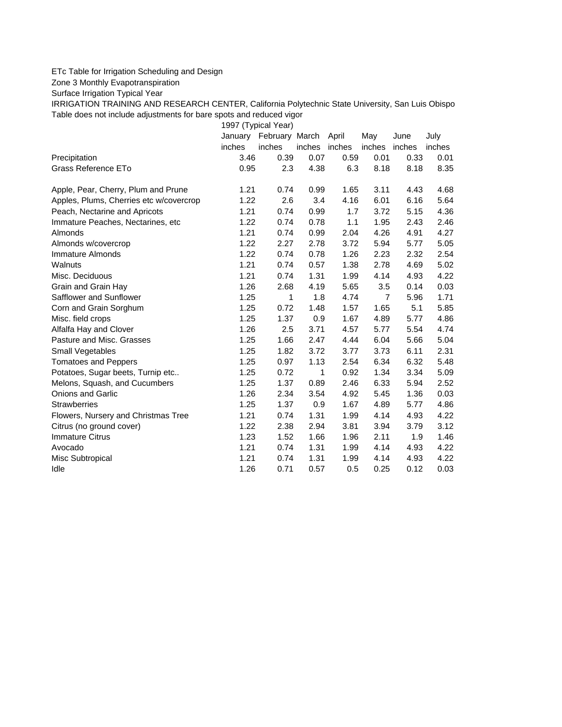## ETc Table for Irrigation Scheduling and Design

Zone 3 Monthly Evapotranspiration

Surface Irrigation Typical Year

IRRIGATION TRAINING AND RESEARCH CENTER, California Polytechnic State University, San Luis Obispo Table does not include adjustments for bare spots and reduced vigor

1997 (Typical Year)

|                                         | January | February March |        | April  | May            | June   | July   |
|-----------------------------------------|---------|----------------|--------|--------|----------------|--------|--------|
|                                         | inches  | inches         | inches | inches | inches         | inches | inches |
| Precipitation                           | 3.46    | 0.39           | 0.07   | 0.59   | 0.01           | 0.33   | 0.01   |
| Grass Reference ETo                     | 0.95    | 2.3            | 4.38   | 6.3    | 8.18           | 8.18   | 8.35   |
| Apple, Pear, Cherry, Plum and Prune     | 1.21    | 0.74           | 0.99   | 1.65   | 3.11           | 4.43   | 4.68   |
| Apples, Plums, Cherries etc w/covercrop | 1.22    | 2.6            | 3.4    | 4.16   | 6.01           | 6.16   | 5.64   |
| Peach, Nectarine and Apricots           | 1.21    | 0.74           | 0.99   | 1.7    | 3.72           | 5.15   | 4.36   |
| Immature Peaches, Nectarines, etc       | 1.22    | 0.74           | 0.78   | 1.1    | 1.95           | 2.43   | 2.46   |
| Almonds                                 | 1.21    | 0.74           | 0.99   | 2.04   | 4.26           | 4.91   | 4.27   |
| Almonds w/covercrop                     | 1.22    | 2.27           | 2.78   | 3.72   | 5.94           | 5.77   | 5.05   |
| Immature Almonds                        | 1.22    | 0.74           | 0.78   | 1.26   | 2.23           | 2.32   | 2.54   |
| Walnuts                                 | 1.21    | 0.74           | 0.57   | 1.38   | 2.78           | 4.69   | 5.02   |
| Misc. Deciduous                         | 1.21    | 0.74           | 1.31   | 1.99   | 4.14           | 4.93   | 4.22   |
| Grain and Grain Hay                     | 1.26    | 2.68           | 4.19   | 5.65   | 3.5            | 0.14   | 0.03   |
| Safflower and Sunflower                 | 1.25    | 1              | 1.8    | 4.74   | $\overline{7}$ | 5.96   | 1.71   |
| Corn and Grain Sorghum                  | 1.25    | 0.72           | 1.48   | 1.57   | 1.65           | 5.1    | 5.85   |
| Misc. field crops                       | 1.25    | 1.37           | 0.9    | 1.67   | 4.89           | 5.77   | 4.86   |
| Alfalfa Hay and Clover                  | 1.26    | 2.5            | 3.71   | 4.57   | 5.77           | 5.54   | 4.74   |
| Pasture and Misc. Grasses               | 1.25    | 1.66           | 2.47   | 4.44   | 6.04           | 5.66   | 5.04   |
| Small Vegetables                        | 1.25    | 1.82           | 3.72   | 3.77   | 3.73           | 6.11   | 2.31   |
| <b>Tomatoes and Peppers</b>             | 1.25    | 0.97           | 1.13   | 2.54   | 6.34           | 6.32   | 5.48   |
| Potatoes, Sugar beets, Turnip etc       | 1.25    | 0.72           | 1      | 0.92   | 1.34           | 3.34   | 5.09   |
| Melons, Squash, and Cucumbers           | 1.25    | 1.37           | 0.89   | 2.46   | 6.33           | 5.94   | 2.52   |
| <b>Onions and Garlic</b>                | 1.26    | 2.34           | 3.54   | 4.92   | 5.45           | 1.36   | 0.03   |
| <b>Strawberries</b>                     | 1.25    | 1.37           | 0.9    | 1.67   | 4.89           | 5.77   | 4.86   |
| Flowers, Nursery and Christmas Tree     | 1.21    | 0.74           | 1.31   | 1.99   | 4.14           | 4.93   | 4.22   |
| Citrus (no ground cover)                | 1.22    | 2.38           | 2.94   | 3.81   | 3.94           | 3.79   | 3.12   |
| <b>Immature Citrus</b>                  | 1.23    | 1.52           | 1.66   | 1.96   | 2.11           | 1.9    | 1.46   |
| Avocado                                 | 1.21    | 0.74           | 1.31   | 1.99   | 4.14           | 4.93   | 4.22   |
| Misc Subtropical                        | 1.21    | 0.74           | 1.31   | 1.99   | 4.14           | 4.93   | 4.22   |
| Idle                                    | 1.26    | 0.71           | 0.57   | 0.5    | 0.25           | 0.12   | 0.03   |